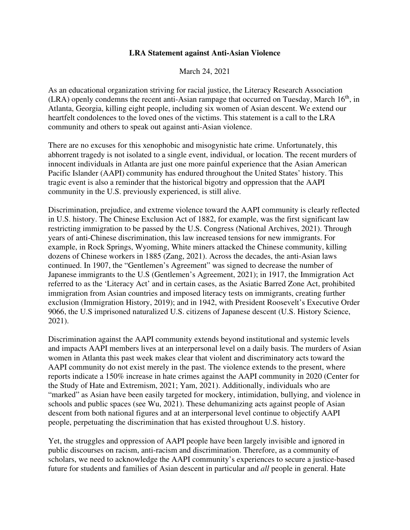## **LRA Statement against Anti-Asian Violence**

March 24, 2021

As an educational organization striving for racial justice, the Literacy Research Association  $(LRA)$  openly condemns the recent anti-Asian rampage that occurred on Tuesday, March  $16<sup>th</sup>$ , in Atlanta, Georgia, killing eight people, including six women of Asian descent. We extend our heartfelt condolences to the loved ones of the victims. This statement is a call to the LRA community and others to speak out against anti-Asian violence.

There are no excuses for this xenophobic and misogynistic hate crime. Unfortunately, this abhorrent tragedy is not isolated to a single event, individual, or location. The recent murders of innocent individuals in Atlanta are just one more painful experience that the Asian American Pacific Islander (AAPI) community has endured throughout the United States' history. This tragic event is also a reminder that the historical bigotry and oppression that the AAPI community in the U.S. previously experienced, is still alive.

Discrimination, prejudice, and extreme violence toward the AAPI community is clearly reflected in U.S. history. The Chinese Exclusion Act of 1882, for example, was the first significant law restricting immigration to be passed by the U.S. Congress (National Archives, 2021). Through years of anti-Chinese discrimination, this law increased tensions for new immigrants. For example, in Rock Springs, Wyoming, White miners attacked the Chinese community, killing dozens of Chinese workers in 1885 (Zang, 2021). Across the decades, the anti-Asian laws continued. In 1907, the "Gentlemen's Agreement" was signed to decrease the number of Japanese immigrants to the U.S (Gentlemen's Agreement, 2021); in 1917, the Immigration Act referred to as the 'Literacy Act' and in certain cases, as the Asiatic Barred Zone Act, prohibited immigration from Asian countries and imposed literacy tests on immigrants, creating further exclusion (Immigration History, 2019); and in 1942, with President Roosevelt's Executive Order 9066, the U.S imprisoned naturalized U.S. citizens of Japanese descent (U.S. History Science, 2021).

Discrimination against the AAPI community extends beyond institutional and systemic levels and impacts AAPI members lives at an interpersonal level on a daily basis. The murders of Asian women in Atlanta this past week makes clear that violent and discriminatory acts toward the AAPI community do not exist merely in the past. The violence extends to the present, where reports indicate a 150% increase in hate crimes against the AAPI community in 2020 (Center for the Study of Hate and Extremism, 2021; Yam, 2021). Additionally, individuals who are "marked" as Asian have been easily targeted for mockery, intimidation, bullying, and violence in schools and public spaces (see Wu, 2021). These dehumanizing acts against people of Asian descent from both national figures and at an interpersonal level continue to objectify AAPI people, perpetuating the discrimination that has existed throughout U.S. history.

Yet, the struggles and oppression of AAPI people have been largely invisible and ignored in public discourses on racism, anti-racism and discrimination. Therefore, as a community of scholars, we need to acknowledge the AAPI community's experiences to secure a justice-based future for students and families of Asian descent in particular and *all* people in general. Hate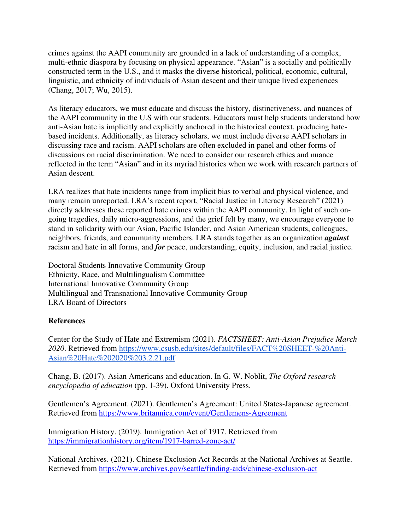crimes against the AAPI community are grounded in a lack of understanding of a complex, multi-ethnic diaspora by focusing on physical appearance. "Asian" is a socially and politically constructed term in the U.S., and it masks the diverse historical, political, economic, cultural, linguistic, and ethnicity of individuals of Asian descent and their unique lived experiences (Chang, 2017; Wu, 2015).

As literacy educators, we must educate and discuss the history, distinctiveness, and nuances of the AAPI community in the U.S with our students. Educators must help students understand how anti-Asian hate is implicitly and explicitly anchored in the historical context, producing hatebased incidents. Additionally, as literacy scholars, we must include diverse AAPI scholars in discussing race and racism. AAPI scholars are often excluded in panel and other forms of discussions on racial discrimination. We need to consider our research ethics and nuance reflected in the term "Asian" and in its myriad histories when we work with research partners of Asian descent.

LRA realizes that hate incidents range from implicit bias to verbal and physical violence, and many remain unreported. LRA's recent report, "Racial Justice in Literacy Research" (2021) directly addresses these reported hate crimes within the AAPI community. In light of such ongoing tragedies, daily micro-aggressions, and the grief felt by many, we encourage everyone to stand in solidarity with our Asian, Pacific Islander, and Asian American students, colleagues, neighbors, friends, and community members. LRA stands together as an organization *against* racism and hate in all forms, and *for* peace, understanding, equity, inclusion, and racial justice.

Doctoral Students Innovative Community Group Ethnicity, Race, and Multilingualism Committee International Innovative Community Group Multilingual and Transnational Innovative Community Group LRA Board of Directors

## **References**

Center for the Study of Hate and Extremism (2021). *FACTSHEET: Anti‐Asian Prejudice March 2020*. Retrieved from https://www.csusb.edu/sites/default/files/FACT%20SHEET-%20Anti-Asian%20Hate%202020%203.2.21.pdf

Chang, B. (2017). Asian Americans and education. In G. W. Noblit, *The Oxford research encyclopedia of education* (pp. 1-39). Oxford University Press.

Gentlemen's Agreement. (2021). Gentlemen's Agreement: United States-Japanese agreement. Retrieved from https://www.britannica.com/event/Gentlemens-Agreement

Immigration History. (2019). Immigration Act of 1917. Retrieved from https://immigrationhistory.org/item/1917-barred-zone-act/

National Archives. (2021). Chinese Exclusion Act Records at the National Archives at Seattle. Retrieved from https://www.archives.gov/seattle/finding-aids/chinese-exclusion-act